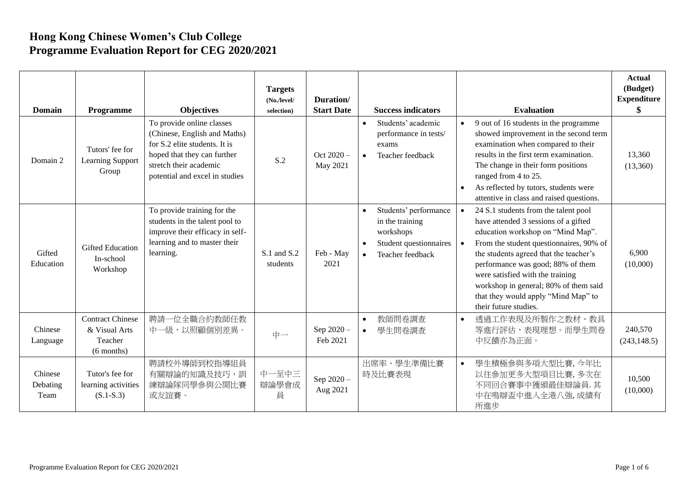## **Hong Kong Chinese Women's Club College Programme Evaluation Report for CEG 2020/2021**

| <b>Domain</b>               | Programme                                                           | <b>Objectives</b>                                                                                                                                                                     | <b>Targets</b><br>(No./level/<br>selection) | Duration/<br><b>Start Date</b> | <b>Success indicators</b>                                                                                                     | <b>Evaluation</b>                                                                                                                                                                                                                                                                                                                                                                        | <b>Actual</b><br>(Budget)<br><b>Expenditure</b> |
|-----------------------------|---------------------------------------------------------------------|---------------------------------------------------------------------------------------------------------------------------------------------------------------------------------------|---------------------------------------------|--------------------------------|-------------------------------------------------------------------------------------------------------------------------------|------------------------------------------------------------------------------------------------------------------------------------------------------------------------------------------------------------------------------------------------------------------------------------------------------------------------------------------------------------------------------------------|-------------------------------------------------|
| Domain 2                    | Tutors' fee for<br>Learning Support<br>Group                        | To provide online classes<br>(Chinese, English and Maths)<br>for S.2 elite students. It is<br>hoped that they can further<br>stretch their academic<br>potential and excel in studies | S.2                                         | Oct $2020 -$<br>May 2021       | Students' academic<br>$\bullet$<br>performance in tests/<br>exams<br>Teacher feedback<br>$\bullet$                            | 9 out of 16 students in the programme<br>showed improvement in the second term<br>examination when compared to their<br>results in the first term examination.<br>The change in their form positions<br>ranged from 4 to 25.<br>As reflected by tutors, students were<br>attentive in class and raised questions.                                                                        | 13,360<br>(13,360)                              |
| Gifted<br>Education         | <b>Gifted Education</b><br>In-school<br>Workshop                    | To provide training for the<br>students in the talent pool to<br>improve their efficacy in self-<br>learning and to master their<br>learning.                                         | S.1 and S.2<br>students                     | Feb - May<br>2021              | Students' performance<br>$\bullet$<br>in the training<br>workshops<br>Student questionnaires<br>Teacher feedback<br>$\bullet$ | 24 S.1 students from the talent pool<br>have attended 3 sessions of a gifted<br>education workshop on "Mind Map".<br>From the student questionnaires, 90% of<br>the students agreed that the teacher's<br>performance was good; 88% of them<br>were satisfied with the training<br>workshop in general; 80% of them said<br>that they would apply "Mind Map" to<br>their future studies. | 6,900<br>(10,000)                               |
| Chinese<br>Language         | <b>Contract Chinese</b><br>& Visual Arts<br>Teacher<br>$(6$ months) | 聘請一位全職合約教師任教<br>中一級,以照顧個別差異。                                                                                                                                                          | 中一                                          | Sep 2020 -<br>Feb 2021         | 教師問卷調査<br>$\bullet$<br>學生問卷調查<br>$\bullet$                                                                                    | 透過工作表現及所製作之教材、教具<br>$\bullet$<br>等進行評估,表現理想。而學生問卷<br>中反饋亦為正面。                                                                                                                                                                                                                                                                                                                            | 240,570<br>(243, 148.5)                         |
| Chinese<br>Debating<br>Team | Tutor's fee for<br>learning activities<br>$(S.1-S.3)$               | 聘請校外導師到校指導組員<br>有關辯論的知識及技巧,訓<br>練辯論隊同學參與公開比賽<br>或友誼賽。                                                                                                                                 | 中一至中三<br>辯論學會成<br>員                         | Sep 2020-<br>Aug 2021          | 出席率、學生準備比賽<br>時及比賽表現                                                                                                          | 學生積極參與多項大型比賽,今年比<br>$\bullet$<br>以往参加更多大型項目比賽,多次在<br>不同回合賽事中獲頒最佳辯論員. 其<br>中在鳴辯盃中進入全港八強,成績有<br>所進步                                                                                                                                                                                                                                                                                        | 10,500<br>(10,000)                              |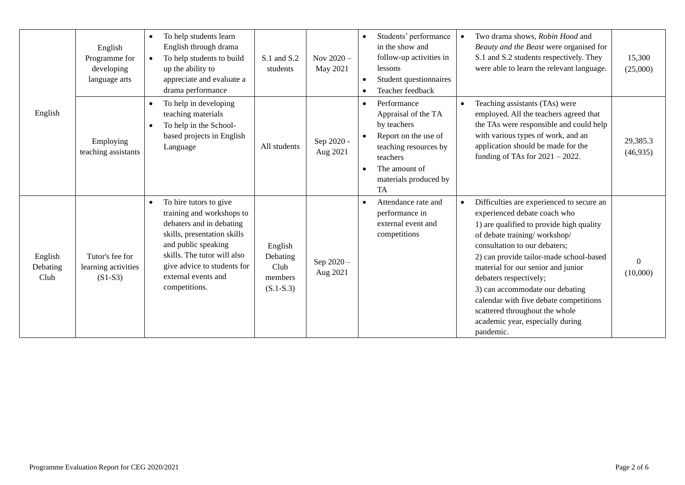|                             | English<br>Programme for<br>developing<br>language arts | To help students learn<br>English through drama<br>To help students to build<br>up the ability to<br>appreciate and evaluate a<br>drama performance                                                                                                      | S.1 and S.2<br>students                               | Nov $2020 -$<br>May 2021 | Students' performance<br>in the show and<br>follow-up activities in<br>lessons<br>Student questionnaires<br>Teacher feedback                                          | Two drama shows, Robin Hood and<br>Beauty and the Beast were organised for<br>S.1 and S.2 students respectively. They<br>were able to learn the relevant language.                                                                                                                                                                                                                                                                                                             | 15,300<br>(25,000)   |
|-----------------------------|---------------------------------------------------------|----------------------------------------------------------------------------------------------------------------------------------------------------------------------------------------------------------------------------------------------------------|-------------------------------------------------------|--------------------------|-----------------------------------------------------------------------------------------------------------------------------------------------------------------------|--------------------------------------------------------------------------------------------------------------------------------------------------------------------------------------------------------------------------------------------------------------------------------------------------------------------------------------------------------------------------------------------------------------------------------------------------------------------------------|----------------------|
| English                     | Employing<br>teaching assistants                        | To help in developing<br>teaching materials<br>To help in the School-<br>based projects in English<br>Language                                                                                                                                           | All students                                          | Sep 2020 -<br>Aug 2021   | Performance<br>Appraisal of the TA<br>by teachers<br>Report on the use of<br>teaching resources by<br>teachers<br>The amount of<br>materials produced by<br><b>TA</b> | Teaching assistants (TAs) were<br>employed. All the teachers agreed that<br>the TAs were responsible and could help<br>with various types of work, and an<br>application should be made for the<br>funding of TAs for $2021 - 2022$ .                                                                                                                                                                                                                                          | 29,385.3<br>(46,935) |
| English<br>Debating<br>Club | Tutor's fee for<br>learning activities<br>$(S1-S3)$     | To hire tutors to give<br>$\bullet$<br>training and workshops to<br>debaters and in debating<br>skills, presentation skills<br>and public speaking<br>skills. The tutor will also<br>give advice to students for<br>external events and<br>competitions. | English<br>Debating<br>Club<br>members<br>$(S.1-S.3)$ | Sep $2020 -$<br>Aug 2021 | Attendance rate and<br>performance in<br>external event and<br>competitions                                                                                           | Difficulties are experienced to secure an<br>$\bullet$<br>experienced debate coach who<br>1) are qualified to provide high quality<br>of debate training/workshop/<br>consultation to our debaters;<br>2) can provide tailor-made school-based<br>material for our senior and junior<br>debaters respectively;<br>3) can accommodate our debating<br>calendar with five debate competitions<br>scattered throughout the whole<br>academic year, especially during<br>pandemic. | $\Omega$<br>(10,000) |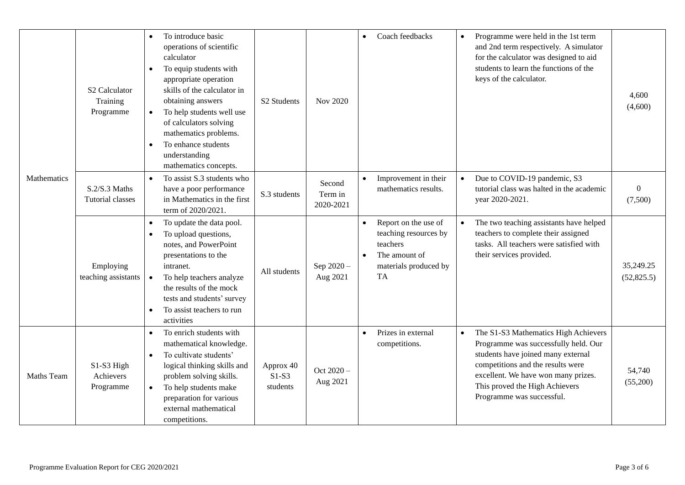|             | S <sub>2</sub> Calculator<br>Training<br>Programme | To introduce basic<br>operations of scientific<br>calculator<br>To equip students with<br>$\bullet$<br>appropriate operation<br>skills of the calculator in<br>obtaining answers<br>To help students well use<br>$\bullet$<br>of calculators solving<br>mathematics problems.<br>To enhance students<br>$\bullet$<br>understanding<br>mathematics concepts. | S <sub>2</sub> Students          | Nov 2020                       | $\bullet$              | Coach feedbacks                                                                                                  |           | Programme were held in the 1st term<br>and 2nd term respectively. A simulator<br>for the calculator was designed to aid<br>students to learn the functions of the<br>keys of the calculator.                                                                  | 4,600<br>(4,600)         |
|-------------|----------------------------------------------------|-------------------------------------------------------------------------------------------------------------------------------------------------------------------------------------------------------------------------------------------------------------------------------------------------------------------------------------------------------------|----------------------------------|--------------------------------|------------------------|------------------------------------------------------------------------------------------------------------------|-----------|---------------------------------------------------------------------------------------------------------------------------------------------------------------------------------------------------------------------------------------------------------------|--------------------------|
| Mathematics | $S.2/S.3$ Maths<br>Tutorial classes                | To assist S.3 students who<br>$\bullet$<br>have a poor performance<br>in Mathematics in the first<br>term of 2020/2021.                                                                                                                                                                                                                                     | S.3 students                     | Second<br>Term in<br>2020-2021 | $\bullet$              | Improvement in their<br>mathematics results.                                                                     | $\bullet$ | Due to COVID-19 pandemic, S3<br>tutorial class was halted in the academic<br>year 2020-2021.                                                                                                                                                                  | $\theta$<br>(7,500)      |
|             | Employing<br>teaching assistants                   | To update the data pool.<br>$\bullet$<br>To upload questions,<br>$\bullet$<br>notes, and PowerPoint<br>presentations to the<br>intranet.<br>To help teachers analyze<br>the results of the mock<br>tests and students' survey<br>To assist teachers to run<br>$\bullet$<br>activities                                                                       | All students                     | Sep 2020-<br>Aug 2021          | $\bullet$<br>$\bullet$ | Report on the use of<br>teaching resources by<br>teachers<br>The amount of<br>materials produced by<br><b>TA</b> |           | The two teaching assistants have helped<br>teachers to complete their assigned<br>tasks. All teachers were satisfied with<br>their services provided.                                                                                                         | 35,249.25<br>(52, 825.5) |
| Maths Team  | S1-S3 High<br>Achievers<br>Programme               | To enrich students with<br>mathematical knowledge.<br>To cultivate students'<br>$\bullet$<br>logical thinking skills and<br>problem solving skills.<br>To help students make<br>preparation for various<br>external mathematical<br>competitions.                                                                                                           | Approx 40<br>$S1-S3$<br>students | Oct $2020 -$<br>Aug 2021       | $\bullet$              | Prizes in external<br>competitions.                                                                              |           | The S1-S3 Mathematics High Achievers<br>Programme was successfully held. Our<br>students have joined many external<br>competitions and the results were<br>excellent. We have won many prizes.<br>This proved the High Achievers<br>Programme was successful. | 54,740<br>(55,200)       |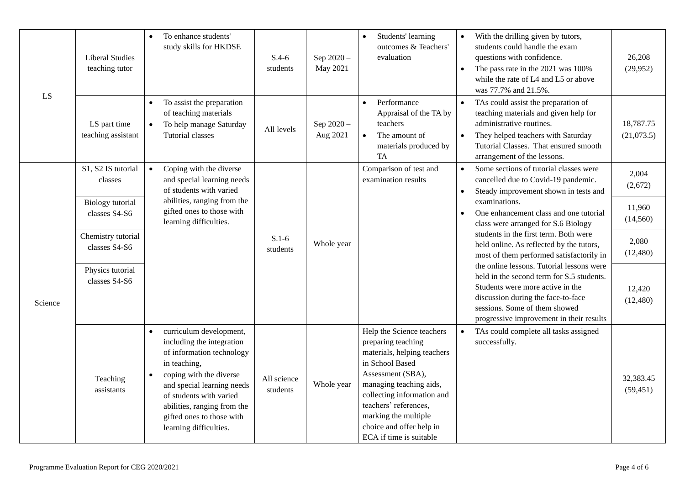| LS      | <b>Liberal Studies</b><br>teaching tutor | To enhance students'<br>$\bullet$<br>study skills for HKDSE                                                                                                                                                                                                                              | $S.4-6$<br>students     | Sep 2020-<br>May 2021  | Students' learning<br>$\bullet$<br>outcomes & Teachers'<br>evaluation                                                                                                                                                                                                                   | With the drilling given by tutors,<br>$\bullet$<br>students could handle the exam<br>questions with confidence.<br>The pass rate in the 2021 was 100%<br>$\bullet$<br>while the rate of L4 and L5 or above<br>was 77.7% and 21.5%.               | 26,208<br>(29, 952)     |
|---------|------------------------------------------|------------------------------------------------------------------------------------------------------------------------------------------------------------------------------------------------------------------------------------------------------------------------------------------|-------------------------|------------------------|-----------------------------------------------------------------------------------------------------------------------------------------------------------------------------------------------------------------------------------------------------------------------------------------|--------------------------------------------------------------------------------------------------------------------------------------------------------------------------------------------------------------------------------------------------|-------------------------|
|         | LS part time<br>teaching assistant       | To assist the preparation<br>$\bullet$<br>of teaching materials<br>To help manage Saturday<br>$\bullet$<br><b>Tutorial classes</b>                                                                                                                                                       | All levels              | Sep 2020 -<br>Aug 2021 | Performance<br>$\bullet$<br>Appraisal of the TA by<br>teachers<br>The amount of<br>materials produced by<br>TA                                                                                                                                                                          | TAs could assist the preparation of<br>$\bullet$<br>teaching materials and given help for<br>administrative routines.<br>They helped teachers with Saturday<br>$\bullet$<br>Tutorial Classes. That ensured smooth<br>arrangement of the lessons. | 18,787.75<br>(21,073.5) |
| Science | S1, S2 IS tutorial<br>classes            | Coping with the diverse<br>$\bullet$<br>and special learning needs<br>of students with varied<br>abilities, ranging from the<br>gifted ones to those with<br>learning difficulties.                                                                                                      | $S.1-6$<br>students     | Whole year             | Comparison of test and<br>examination results                                                                                                                                                                                                                                           | Some sections of tutorial classes were<br>$\bullet$<br>cancelled due to Covid-19 pandemic.<br>Steady improvement shown in tests and<br>$\bullet$                                                                                                 | 2,004<br>(2,672)        |
|         | <b>Biology</b> tutorial<br>classes S4-S6 |                                                                                                                                                                                                                                                                                          |                         |                        |                                                                                                                                                                                                                                                                                         | examinations.<br>One enhancement class and one tutorial<br>class were arranged for S.6 Biology                                                                                                                                                   | 11,960<br>(14, 560)     |
|         | Chemistry tutorial<br>classes S4-S6      |                                                                                                                                                                                                                                                                                          |                         |                        |                                                                                                                                                                                                                                                                                         | students in the first term. Both were<br>held online. As reflected by the tutors,<br>most of them performed satisfactorily in                                                                                                                    | 2,080<br>(12, 480)      |
|         | Physics tutorial<br>classes S4-S6        |                                                                                                                                                                                                                                                                                          |                         |                        |                                                                                                                                                                                                                                                                                         | the online lessons. Tutorial lessons were<br>held in the second term for S.5 students.<br>Students were more active in the<br>discussion during the face-to-face<br>sessions. Some of them showed<br>progressive improvement in their results    | 12,420<br>(12, 480)     |
|         | Teaching<br>assistants                   | curriculum development,<br>including the integration<br>of information technology<br>in teaching,<br>coping with the diverse<br>$\bullet$<br>and special learning needs<br>of students with varied<br>abilities, ranging from the<br>gifted ones to those with<br>learning difficulties. | All science<br>students | Whole year             | Help the Science teachers<br>preparing teaching<br>materials, helping teachers<br>in School Based<br>Assessment (SBA),<br>managing teaching aids,<br>collecting information and<br>teachers' references,<br>marking the multiple<br>choice and offer help in<br>ECA if time is suitable | TAs could complete all tasks assigned<br>$\bullet$<br>successfully.                                                                                                                                                                              | 32,383.45<br>(59, 451)  |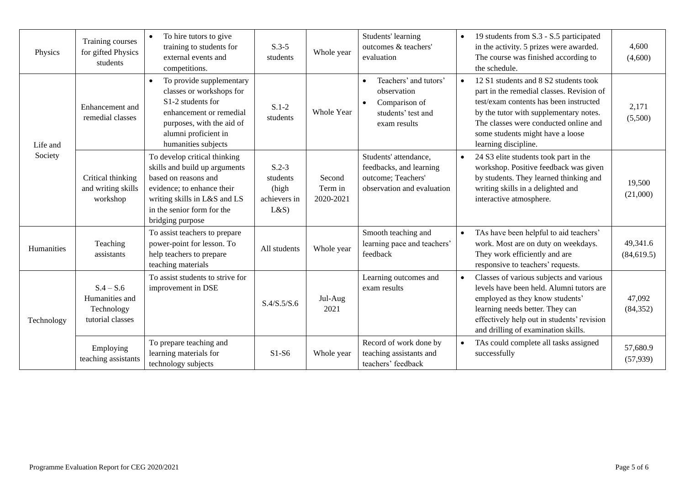| Physics    | Training courses<br>for gifted Physics<br>students              | To hire tutors to give<br>training to students for<br>external events and<br>competitions.                                                                                                            | $S.3-5$<br>students                                 | Whole year                     | Students' learning<br>outcomes & teachers'<br>evaluation                                                              | $\bullet$ | 19 students from S.3 - S.5 participated<br>in the activity. 5 prizes were awarded.<br>The course was finished according to<br>the schedule.                                                                                                                                 | 4,600<br>(4,600)        |
|------------|-----------------------------------------------------------------|-------------------------------------------------------------------------------------------------------------------------------------------------------------------------------------------------------|-----------------------------------------------------|--------------------------------|-----------------------------------------------------------------------------------------------------------------------|-----------|-----------------------------------------------------------------------------------------------------------------------------------------------------------------------------------------------------------------------------------------------------------------------------|-------------------------|
| Life and   | Enhancement and<br>remedial classes                             | To provide supplementary<br>$\bullet$<br>classes or workshops for<br>S1-2 students for<br>enhancement or remedial<br>purposes, with the aid of<br>alumni proficient in<br>humanities subjects         | $S.1-2$<br>students                                 | Whole Year                     | Teachers' and tutors'<br>$\bullet$<br>observation<br>Comparison of<br>$\bullet$<br>students' test and<br>exam results | $\bullet$ | 12 S1 students and 8 S2 students took<br>part in the remedial classes. Revision of<br>test/exam contents has been instructed<br>by the tutor with supplementary notes.<br>The classes were conducted online and<br>some students might have a loose<br>learning discipline. | 2,171<br>(5,500)        |
| Society    | Critical thinking<br>and writing skills<br>workshop             | To develop critical thinking<br>skills and build up arguments<br>based on reasons and<br>evidence; to enhance their<br>writing skills in L&S and LS<br>in the senior form for the<br>bridging purpose | $S.2-3$<br>students<br>(high<br>achievers in<br>L&S | Second<br>Term in<br>2020-2021 | Students' attendance,<br>feedbacks, and learning<br>outcome; Teachers'<br>observation and evaluation                  |           | 24 S3 elite students took part in the<br>workshop. Positive feedback was given<br>by students. They learned thinking and<br>writing skills in a delighted and<br>interactive atmosphere.                                                                                    | 19,500<br>(21,000)      |
| Humanities | Teaching<br>assistants                                          | To assist teachers to prepare<br>power-point for lesson. To<br>help teachers to prepare<br>teaching materials                                                                                         | All students                                        | Whole year                     | Smooth teaching and<br>learning pace and teachers'<br>feedback                                                        |           | TAs have been helpful to aid teachers'<br>work. Most are on duty on weekdays.<br>They work efficiently and are<br>responsive to teachers' requests.                                                                                                                         | 49,341.6<br>(84, 619.5) |
| Technology | $S.4 - S.6$<br>Humanities and<br>Technology<br>tutorial classes | To assist students to strive for<br>improvement in DSE                                                                                                                                                | S.4/S.5/S.6                                         | Jul-Aug<br>2021                | Learning outcomes and<br>exam results                                                                                 | $\bullet$ | Classes of various subjects and various<br>levels have been held. Alumni tutors are<br>employed as they know students'<br>learning needs better. They can<br>effectively help out in students' revision<br>and drilling of examination skills.                              | 47,092<br>(84, 352)     |
|            | Employing<br>teaching assistants                                | To prepare teaching and<br>learning materials for<br>technology subjects                                                                                                                              | $S1-S6$                                             | Whole year                     | Record of work done by<br>teaching assistants and<br>teachers' feedback                                               | $\bullet$ | TAs could complete all tasks assigned<br>successfully                                                                                                                                                                                                                       | 57,680.9<br>(57, 939)   |